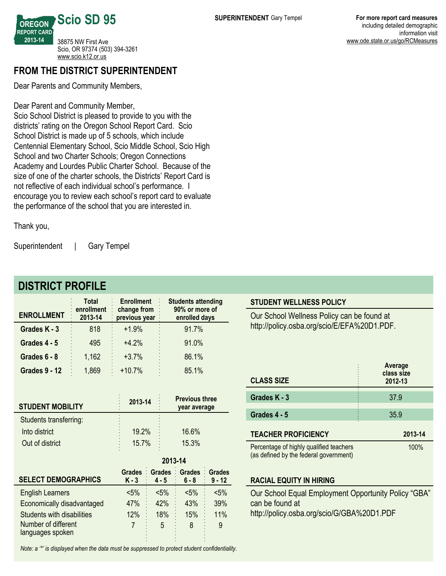**OREGON REPORT CARD 201314** 38875 NW First Ave Scio, OR 97374 (503) 394-3261 <www.scio.k12.or.us>

**Scio SD 95**

### **FROM THE DISTRICT SUPERINTENDENT**

Dear Parents and Community Members,

Dear Parent and Community Member,

Scio School District is pleased to provide to you with the districts' rating on the Oregon School Report Card. Scio School District is made up of 5 schools, which include Centennial Elementary School, Scio Middle School, Scio High School and two Charter Schools; Oregon Connections Academy and Lourdes Public Charter School. Because of the size of one of the charter schools, the Districts' Report Card is not reflective of each individual school's performance. I encourage you to review each school's report card to evaluate the performance of the school that you are interested in.

Thank you,

Superintendent | Gary Tempel

## **DISTRICT PROFILE**

| <b>ENROLLMENT</b>    | <b>Total</b><br>: enrollment<br>2013-14 | <b>Enrollment</b><br>change from<br>previous year | <b>Students attending</b><br>90% or more of<br>enrolled days |
|----------------------|-----------------------------------------|---------------------------------------------------|--------------------------------------------------------------|
| Grades K - 3         | 818                                     | $+1.9%$                                           | 91.7%                                                        |
| Grades 4 - 5         | 495                                     | $+4.2%$                                           | 91.0%                                                        |
| Grades 6 - 8         | 1,162                                   | $+3.7%$                                           | 86.1%                                                        |
| <b>Grades 9 - 12</b> | 1,869<br>٠                              | $+10.7%$                                          | 85.1%                                                        |

| 2013-14         | <b>Previous three</b><br>year average |
|-----------------|---------------------------------------|
|                 |                                       |
| 19.2%           | 16.6%                                 |
| 15.7%<br>٠<br>٠ | 15.3%                                 |
|                 |                                       |

|                                         | ZV 13-14                 |         |                                 |          |  |  |
|-----------------------------------------|--------------------------|---------|---------------------------------|----------|--|--|
| <b>SELECT DEMOGRAPHICS</b>              | <b>Grades</b><br>$K - 3$ | $4 - 5$ | Grades Grades Grades<br>$6 - 8$ | $9 - 12$ |  |  |
| <b>English Learners</b>                 | $< 5\%$                  | $< 5\%$ | $< 5\%$                         | $< 5\%$  |  |  |
| Economically disadvantaged              | 47%                      | 42%     | 43%                             | 39%      |  |  |
| <b>Students with disabilities</b>       | 12%                      | 18%     | 15%                             | 11%      |  |  |
| Number of different<br>languages spoken |                          | 5       | 8                               | 9        |  |  |

**201314**

*Note: a '\*' is displayed when the data must be suppressed to protect student confidentiality.*

| <b>CLASS SIZE</b>                                                                 | Average<br>class size<br>2012-13 |
|-----------------------------------------------------------------------------------|----------------------------------|
| Grades K - 3                                                                      | 37.9                             |
| Grades 4 - 5                                                                      | 35.9                             |
| <b>TEACHER PROFICIENCY</b>                                                        | 2013-14                          |
| Percentage of highly qualified teachers<br>(as defined by the federal government) | 100%                             |
| <b>RACIAL EQUITY IN HIRING</b>                                                    |                                  |

**STUDENT WELLNESS POLICY**

Our School Wellness Policy can be found at http://policy.osba.org/scio/E/EFA%20D1.PDF.

Our School Equal Employment Opportunity Policy "GBA" can be found at http://policy.osba.org/scio/G/GBA%20D1.PDF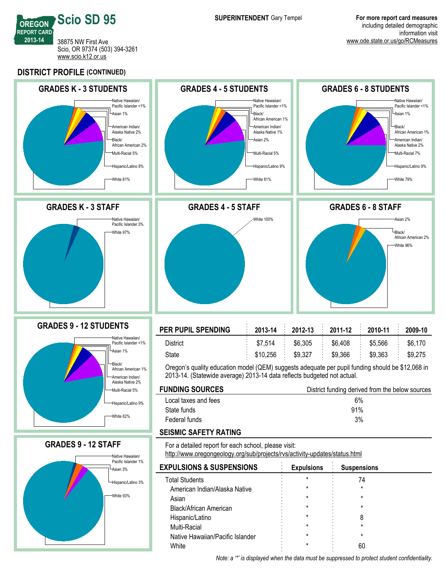

**DISTRICT PROFILE (CONTINUED)**



Multi-Racial

Native Hawaiian/Pacific Islander

White  $\sim$  60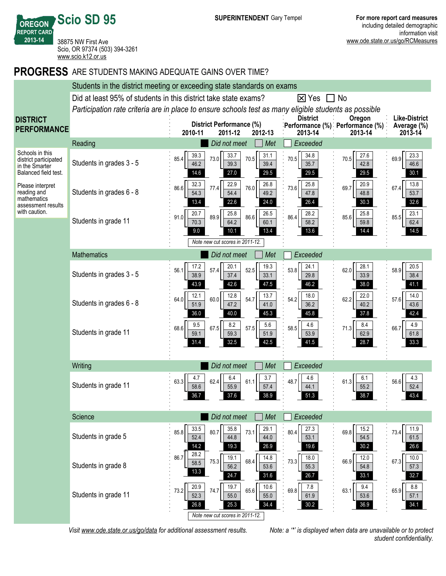38875 NW First Ave Scio, OR 97374 (503) 394-3261 <www.scio.k12.or.us>

**Scio SD 95**

**OREGON REPORT CARD 201314**

#### **PROGRESS** ARE STUDENTS MAKING ADEQUATE GAINS OVER TIME?

|                                                                                    | Students in the district meeting or exceeding state standards on exams |                                                                                                       |                                                              |                              |  |  |  |
|------------------------------------------------------------------------------------|------------------------------------------------------------------------|-------------------------------------------------------------------------------------------------------|--------------------------------------------------------------|------------------------------|--|--|--|
|                                                                                    | Did at least 95% of students in this district take state exams?        |                                                                                                       | $\boxtimes$ Yes<br>$\Box$ No                                 |                              |  |  |  |
|                                                                                    |                                                                        | Participation rate criteria are in place to ensure schools test as many eligible students as possible | <b>District</b><br>Oregon                                    | <b>Like-District</b>         |  |  |  |
| <b>DISTRICT</b><br><b>PERFORMANCE</b>                                              |                                                                        | District Performance (%)<br>2010-11<br>2011-12<br>2012-13                                             | Performance (%) Performance (%)<br>2013-14<br>2013-14        | Average (%)<br>2013-14       |  |  |  |
|                                                                                    | Reading                                                                | Did not meet<br>Met                                                                                   | Exceeded                                                     |                              |  |  |  |
| Schools in this<br>district participated<br>in the Smarter<br>Balanced field test. | Students in grades 3 - 5                                               | 33.7<br>39.3<br>31.1<br>73.0<br>70.5<br>85.4<br>39.3<br>46.2<br>39.4<br>27.0<br>14.6<br>29.5          | 34.8<br>27.6<br>70.5<br>70.5<br>35.7<br>42.8<br>29.5<br>29.5 | 23.3<br>69.9<br>46.6<br>30.1 |  |  |  |
| Please interpret<br>reading and<br>mathematics<br>assessment results               | Students in grades 6 - 8                                               | 22.9<br>26.8<br>32.3<br>77.4<br>76.0<br>86.6<br>54.3<br>49.2<br>54.4<br>13.4<br>22.6<br>24.0          | 25.8<br>20.9<br>73.6<br>69.7<br>48.8<br>47.8<br>26.4<br>30.3 | 13.8<br>67.4<br>53.7<br>32.6 |  |  |  |
| with caution.                                                                      | Students in grade 11                                                   | 20.7<br>25.8<br>26.5<br>89.9<br>86.6<br>91.0<br>64.2<br>60.1<br>70.3<br>13.4<br>9.0<br>10.1           | 28.2<br>25.8<br>86.4<br>85.6<br>58.2<br>59.8<br>13.6<br>14.4 | 23.1<br>85.5<br>62.4<br>14.5 |  |  |  |
|                                                                                    |                                                                        | Note new cut scores in 2011-12.                                                                       |                                                              |                              |  |  |  |
|                                                                                    | <b>Mathematics</b>                                                     | Did not meet<br>Met                                                                                   | Exceeded                                                     |                              |  |  |  |
|                                                                                    | Students in grades 3 - 5                                               | 17.2<br>19.3<br>20.1<br>57.4<br>52.5<br>56.1<br>33.1<br>38.9<br>37.4<br>42.6<br>43.9<br>47.5          | 24.1<br>28.1<br>53.8<br>62.0<br>33.9<br>29.8<br>46.2<br>38.0 | 20.5<br>58.9<br>38.4<br>41.1 |  |  |  |
|                                                                                    | Students in grades 6 - 8                                               | 12.8<br>13.7<br>12.1<br>60.0<br>54.7<br>64.0<br>47.2<br>51.9<br>41.0<br>36.0<br>40.0<br>45.3          | 18.0<br>22.0<br>54.2<br>62.2<br>36.2<br>40.2<br>45.8<br>37.8 | 14.0<br>57.6<br>43.6<br>42.4 |  |  |  |
|                                                                                    | Students in grade 11                                                   | 9.5<br>8.2<br>5.6<br>67.5<br>57.5<br>68.6<br>59.1<br>59.3<br>51.9<br>31.4<br>32.5<br>42.5             | 4.6<br>8.4<br>58.5<br>71.3<br>53.9<br>62.9<br>28.7<br>41.5   | 4.9<br>66.7<br>61.8<br>33.3  |  |  |  |
|                                                                                    |                                                                        |                                                                                                       |                                                              |                              |  |  |  |
|                                                                                    | Writing                                                                | Did not meet<br>Met                                                                                   | Exceeded                                                     |                              |  |  |  |
|                                                                                    | Students in grade 11                                                   | 4.7<br>6.4<br>3.7<br>63.3<br>62.4<br>61.1<br>58.6<br>55.9<br>57.4<br>37.6<br>38.9<br>36.7             | 4.6<br>6.1<br>48.7<br>61.3<br>55.2<br>44.1<br>51.3<br>38.7   | 4.3<br>56.6<br>52.4<br>43.4  |  |  |  |
|                                                                                    | Science                                                                | Did not meet<br>Met                                                                                   | Exceeded                                                     |                              |  |  |  |
|                                                                                    | Students in grade 5                                                    | 33.5<br>35.8<br>29.1<br>80.7<br>73.1<br>85.8<br>52.4<br>44.8<br>44.0<br>14.2<br>19.3<br>26.9          | 27.3<br>15.2<br>80.4<br>69.8<br>54.5<br>53.1<br>30.2<br>19.6 | 11.9<br>73.4<br>61.5<br>26.6 |  |  |  |
|                                                                                    | Students in grade 8                                                    | 28.2<br>86.7<br>19.1<br>14.8<br>75.3<br>68.4<br>58.5<br>56.2<br>53.6<br>13.3<br>24.7<br>31.6          | 18.0<br>12.0<br>73.3<br>66.9<br>55.3<br>54.8<br>26.7<br>33.1 | 10.0<br>67.3<br>57.3<br>32.7 |  |  |  |
|                                                                                    | Students in grade 11                                                   | 20.9<br>19.7<br>10.6<br>74.7<br>73.2<br>65.6<br>52.3<br>55.0<br>55.0<br>26.8<br>25.3<br>34.4          | 7.8<br>9.4<br>69.8<br>63.1<br>61.9<br>53.6<br>36.9<br>30.2   | 8.8<br>65.9<br>57.1<br>34.1  |  |  |  |
|                                                                                    |                                                                        | Note new cut scores in 2011-12.                                                                       |                                                              |                              |  |  |  |

*Visit www.ode.state.or.us/go/data for additional assessment results. Note: a '\*' is displayed when data are unavailable or to protect student confidentiality.*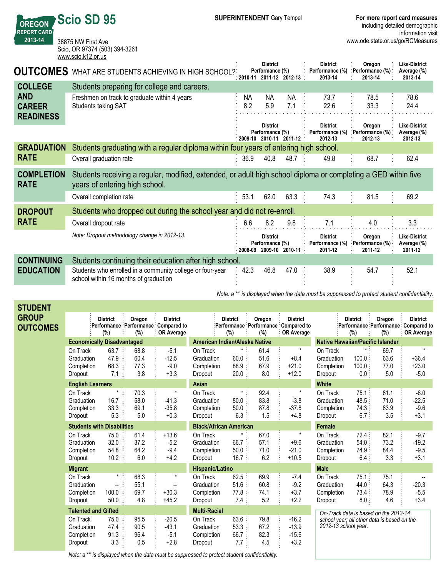| <b>SUPERINTENDENT Gary Tempel</b> | For more report card measures |
|-----------------------------------|-------------------------------|
|-----------------------------------|-------------------------------|

38875 NW First Ave Scio, OR 97374 (503) 394-3261 <www.scio.k12.or.us>

**Scio SD 95**

**OREGON REPORT CARD 201314**

|                                   | www.scio.k12.or.us                                                                                                                               |           |                                    |                         |                                               |                                      |                                                |  |
|-----------------------------------|--------------------------------------------------------------------------------------------------------------------------------------------------|-----------|------------------------------------|-------------------------|-----------------------------------------------|--------------------------------------|------------------------------------------------|--|
|                                   | <b>OUTCOMES</b> WHAT ARE STUDENTS ACHIEVING IN HIGH SCHOOL?                                                                                      |           | <b>District</b><br>Performance (%) | 2010-11 2011-12 2012-13 | <b>District</b><br>Performance (%)<br>2013-14 | Oregon<br>Performance (%)<br>2013-14 | <b>Like-District</b><br>Average (%)<br>2013-14 |  |
| <b>COLLEGE</b>                    | Students preparing for college and careers.                                                                                                      |           |                                    |                         |                                               |                                      |                                                |  |
| <b>AND</b>                        | Freshmen on track to graduate within 4 years                                                                                                     | <b>NA</b> | NА                                 | NA.                     | 73.7                                          | 78.5                                 | 78.6                                           |  |
| <b>CAREER</b><br><b>READINESS</b> | Students taking SAT                                                                                                                              | 8.2       | 5.9                                | 7.1                     | 22.6                                          | 33.3                                 | 24.4                                           |  |
|                                   |                                                                                                                                                  |           | <b>District</b><br>Performance (%) | 2009-10 2010-11 2011-12 | <b>District</b><br>Performance (%)<br>2012-13 | Oregon<br>Performance (%)<br>2012-13 | <b>Like-District</b><br>Average (%)<br>2012-13 |  |
| <b>GRADUATION</b>                 | Students graduating with a regular diploma within four years of entering high school.                                                            |           |                                    |                         |                                               |                                      |                                                |  |
| <b>RATE</b>                       | Overall graduation rate                                                                                                                          | 36.9      | 40.8                               | 48.7                    | 49.8                                          | 68.7                                 | 62.4                                           |  |
| <b>COMPLETION</b><br><b>RATE</b>  | Students receiving a regular, modified, extended, or adult high school diploma or completing a GED within five<br>years of entering high school. |           |                                    |                         |                                               |                                      |                                                |  |
|                                   | Overall completion rate                                                                                                                          | : 53.1    | 62.0                               | 63.3 :                  | 74.3                                          | 81.5                                 | 69.2                                           |  |
| <b>DROPOUT</b>                    | Students who dropped out during the school year and did not re-enroll.                                                                           |           |                                    |                         |                                               |                                      |                                                |  |
| <b>RATE</b>                       | Overall dropout rate                                                                                                                             | 6.6       | 8.2                                | 9.8                     | 7.1                                           | 4.0                                  | 3.3                                            |  |
|                                   | Note: Dropout methodology change in 2012-13.                                                                                                     |           | <b>District</b><br>Performance (%) |                         | <b>District</b><br>Performance (%)            | Oregon<br>Performance (%)            | <b>Like-District</b><br>Average (%)            |  |

|                   |                                                                                                    |                   | 2008-09 2009-10 2010-11 | 2011-12 | 2011-12 | 2011-12 |  |
|-------------------|----------------------------------------------------------------------------------------------------|-------------------|-------------------------|---------|---------|---------|--|
| <b>CONTINUING</b> | Students continuing their education after high school.                                             |                   |                         |         |         |         |  |
| <b>EDUCATION</b>  | Students who enrolled in a community college or four-year<br>school within 16 months of graduation | $\therefore$ 42.3 | 46.8 47.0               | 38.9    | 54.7    | 52.1    |  |
|                   |                                                                                                    |                   |                         |         |         |         |  |

*Note: a '\*' is displayed when the data must be suppressed to protect student confidentiality.*

| <b>STUDENT</b>                  |                                                 |                                   |                                                          |                                         |                                                 |                                                   |                             |                                                |                                                 |                                |                                             |                                                                      |
|---------------------------------|-------------------------------------------------|-----------------------------------|----------------------------------------------------------|-----------------------------------------|-------------------------------------------------|---------------------------------------------------|-----------------------------|------------------------------------------------|-------------------------------------------------|--------------------------------|---------------------------------------------|----------------------------------------------------------------------|
| <b>GROUP</b><br><b>OUTCOMES</b> |                                                 | <b>District</b><br>(%)            | Oregon<br>Performance : Performance : Compared to<br>(%) | <b>District</b><br>: OR Average         |                                                 | <b>District</b><br>Performance Performance<br>(%) | Oregon<br>(%)               | <b>District</b><br>: Compared to<br>OR Average |                                                 | <b>District</b><br>(%)         | Oregon<br>(%)                               | <b>District</b><br>Performance Performance Compared to<br>OR Average |
|                                 |                                                 | <b>Economically Disadvantaged</b> |                                                          |                                         |                                                 | American Indian/Alaska Native                     |                             |                                                | <b>Native Hawaiian/Pacific Islander</b>         |                                |                                             |                                                                      |
|                                 | On Track<br>Graduation<br>Completion<br>Dropout | 63.7<br>47.9<br>68.3<br>7.1       | 68.8<br>60.4<br>77.3<br>3.8                              | $-5.1$<br>$-12.5$<br>$-9.0$<br>$+3.3$   | On Track<br>Graduation<br>Completion<br>Dropout | 60.0<br>88.9<br>20.0                              | 61.4<br>51.6<br>67.9<br>8.0 | $^\star$<br>$+8.4$<br>$+21.0$<br>$+12.0$       | On Track<br>Graduation<br>Completion<br>Dropout | 100.0<br>100.0<br>0.0:         | 69.7<br>63.6<br>77.0<br>5.0                 | $+36.4$<br>$+23.0$<br>$-5.0$                                         |
|                                 | <b>English Learners</b>                         |                                   |                                                          |                                         | <b>Asian</b>                                    |                                                   |                             |                                                | <b>White</b>                                    |                                |                                             |                                                                      |
|                                 | On Track<br>Graduation<br>Completion<br>Dropout | $^\star$<br>16.7<br>33.3<br>5.3   | 70.3<br>58.0<br>69.1<br>5.0                              | $\star$<br>$-41.3$<br>$-35.8$<br>$+0.3$ | On Track<br>Graduation<br>Completion<br>Dropout | $\star$<br>80.0<br>50.0<br>6.3                    | 92.4<br>83.8<br>87.8<br>1.5 | $\star$<br>$-3.8$<br>$-37.8$<br>$+4.8$         | On Track<br>Graduation<br>Completion<br>Dropout | 75.1:<br>48.5<br>74.3:<br>6.7: | 81.1<br>71.0<br>83.9<br>3.5                 | $-6.0$<br>$-22.5$<br>$-9.6$<br>$+3.1$                                |
|                                 |                                                 | <b>Students with Disabilities</b> |                                                          |                                         |                                                 | <b>Black/African American</b>                     |                             |                                                | Female                                          |                                |                                             |                                                                      |
|                                 | On Track<br>Graduation<br>Completion<br>Dropout | 75.0<br>32.0<br>54.8<br>10.2      | 61.4<br>37.2<br>64.2<br>6.0                              | $+13.6$<br>$-5.2$<br>$-9.4$<br>$+4.2$   | On Track<br>Graduation<br>Completion<br>Dropout | $\star$<br>66.7<br>50.0<br>16.7                   | 67.0<br>57.1<br>71.0<br>6.2 | $^\star$<br>$+9.6$<br>$-21.0$<br>$+10.5$       | On Track<br>Graduation<br>Completion<br>Dropout | 72.4:<br>54.0<br>74.9<br>6.4   | 82.1<br>73.2<br>84.4<br>3.3                 | $-9.7$<br>$-19.2$<br>$-9.5$<br>$+3.1$                                |
|                                 | <b>Migrant</b>                                  |                                   |                                                          |                                         | Hispanic/Latino                                 |                                                   |                             |                                                | <b>Male</b>                                     |                                |                                             |                                                                      |
|                                 | On Track<br>Graduation<br>Completion<br>Dropout | $^\star$<br>100.0<br>50.0         | 68.3<br>55.1<br>69.7<br>4.8                              | $^\star$<br>--<br>$+30.3$<br>$+45.2$    | On Track<br>Graduation<br>Completion<br>Dropout | 62.5<br>51.6<br>77.8<br>$7.4$ :                   | 69.9<br>60.8<br>74.1<br>5.2 | $-7.4$<br>$-9.2$<br>$+3.7$<br>$+2.2$           | On Track<br>Graduation<br>Completion<br>Dropout | 75.1:<br>44.0<br>73.4<br>8.0   | 75.1<br>64.3<br>78.9<br>4.6                 | $-20.3$<br>$-5.5$<br>$+3.4$                                          |
|                                 |                                                 | <b>Talented and Gifted</b>        |                                                          |                                         | <b>Multi-Racial</b>                             |                                                   |                             |                                                | On-Track data is based on the 2013-14           |                                |                                             |                                                                      |
|                                 | On Track<br>Graduation<br>Completion<br>Dropout | 75.0<br>47.4<br>91.3<br>3.3       | 95.5<br>90.5<br>96.4<br>0.5                              | $-20.5$<br>$-43.1$<br>$-5.1$<br>$+2.8$  | On Track<br>Graduation<br>Completion<br>Dropout | 63.6<br>53.3<br>66.7<br>7.7                       | 79.8<br>67.2<br>82.3<br>4.5 | $-16.2$<br>$-13.9$<br>$-15.6$<br>$+3.2$        | 2012-13 school year.                            |                                | school year; all other data is based on the |                                                                      |

*Note: a '\*' is displayed when the data must be suppressed to protect student confidentiality.*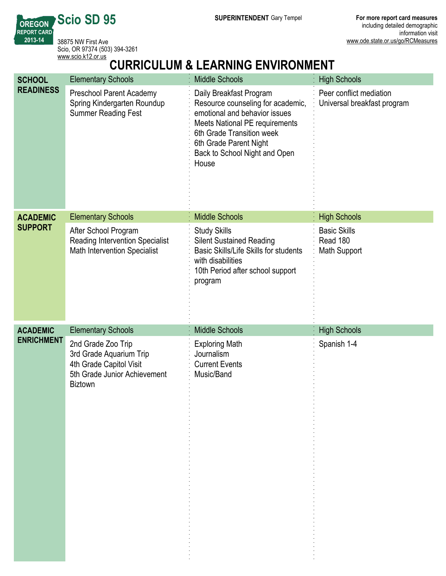**REPORT CARD** 38875 NW First Ave Scio, OR 97374 (503) 394-3261 <www.scio.k12.or.us>

**Scio SD 95**

**OREGON**

**201314**

# **CURRICULUM & LEARNING ENVIRONMENT**

| <b>SCHOOL</b>     | <b>Elementary Schools</b>                                                                                                  | <b>Middle Schools</b>                                                                                                                                                                                                            | <b>High Schools</b>                                    |
|-------------------|----------------------------------------------------------------------------------------------------------------------------|----------------------------------------------------------------------------------------------------------------------------------------------------------------------------------------------------------------------------------|--------------------------------------------------------|
| <b>READINESS</b>  | Preschool Parent Academy<br>Spring Kindergarten Roundup<br><b>Summer Reading Fest</b>                                      | Daily Breakfast Program<br>Resource counseling for academic,<br>emotional and behavior issues<br>Meets National PE requirements<br>6th Grade Transition week<br>6th Grade Parent Night<br>Back to School Night and Open<br>House | Peer conflict mediation<br>Universal breakfast program |
| <b>ACADEMIC</b>   | <b>Elementary Schools</b>                                                                                                  | <b>Middle Schools</b>                                                                                                                                                                                                            | <b>High Schools</b>                                    |
| <b>SUPPORT</b>    | After School Program<br>Reading Intervention Specialist<br><b>Math Intervention Specialist</b>                             | <b>Study Skills</b><br><b>Silent Sustained Reading</b><br>Basic Skills/Life Skills for students<br>with disabilities<br>10th Period after school support<br>program                                                              | <b>Basic Skills</b><br>Read 180<br>Math Support        |
| <b>ACADEMIC</b>   | <b>Elementary Schools</b>                                                                                                  | <b>Middle Schools</b>                                                                                                                                                                                                            | <b>High Schools</b>                                    |
| <b>ENRICHMENT</b> | 2nd Grade Zoo Trip<br>3rd Grade Aquarium Trip<br>4th Grade Capitol Visit<br>5th Grade Junior Achievement<br><b>Biztown</b> | <b>Exploring Math</b><br>Journalism<br><b>Current Events</b><br>Music/Band                                                                                                                                                       | Spanish 1-4                                            |